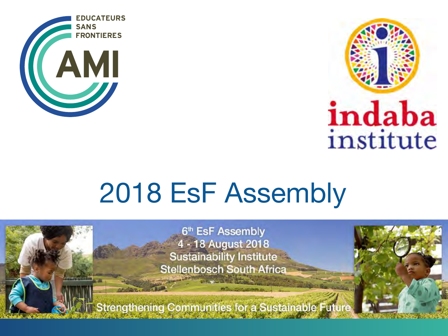



# 2018 EsF Assembly

6th EsF Assembly 4 - 18 August 2018 **Sustainability Institute Stellenbosch South Africa** 

**Strengthening Communities for a Sustainable Future**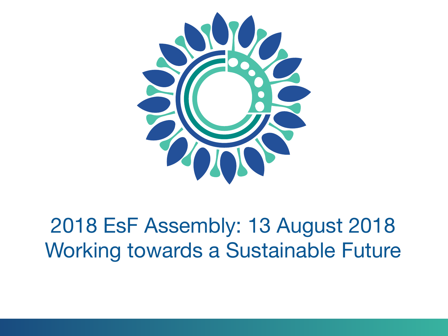

# 2018 EsF Assembly: 13 August 2018 Working towards a Sustainable Future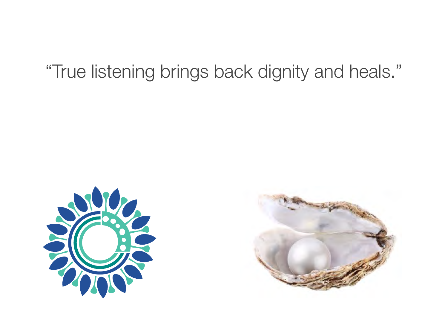#### "True listening brings back dignity and heals."



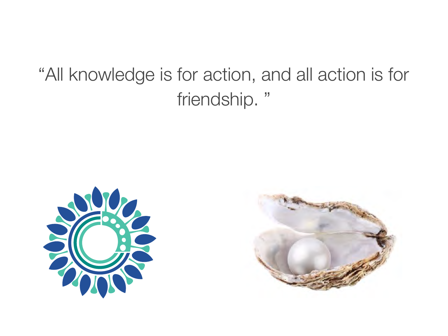#### "All knowledge is for action, and all action is for friendship. "



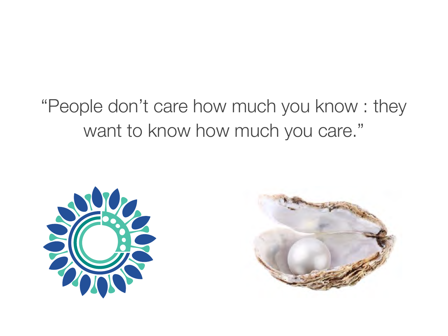### "People don't care how much you know : they want to know how much you care."



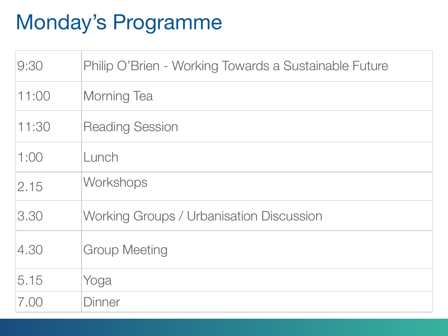# Monday's Programme

| 9:30  | Philip O'Brien - Working Towards a Sustainable Future |
|-------|-------------------------------------------------------|
| 11:00 | Morning Tea                                           |
| 11:30 | <b>Reading Session</b>                                |
| 1:00  | Lunch                                                 |
| 2.15  | Workshops                                             |
| 3.30  | Working Groups / Urbanisation Discussion              |
| 4.30  | <b>Group Meeting</b>                                  |
| 5.15  | Yoga                                                  |
| 7.00  | <b>Dinner</b>                                         |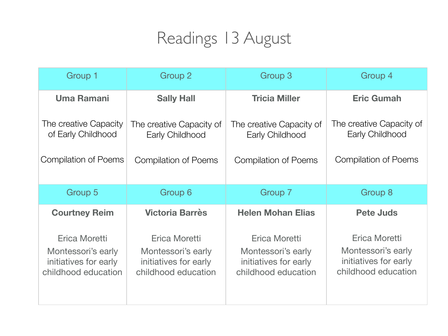#### Readings 13 August

| Group 1                                                      | <b>Group 2</b>                                               | <b>Group 3</b>                                               | Group 4                                                      |
|--------------------------------------------------------------|--------------------------------------------------------------|--------------------------------------------------------------|--------------------------------------------------------------|
| <b>Uma Ramani</b>                                            | <b>Sally Hall</b>                                            | <b>Tricia Miller</b>                                         | <b>Eric Gumah</b>                                            |
| The creative Capacity<br>of Early Childhood                  | The creative Capacity of<br>Early Childhood                  | The creative Capacity of<br>Early Childhood                  | The creative Capacity of<br>Early Childhood                  |
| <b>Compilation of Poems</b>                                  | <b>Compilation of Poems</b>                                  | <b>Compilation of Poems</b>                                  | <b>Compilation of Poems</b>                                  |
| Group 5                                                      | Group 6                                                      | Group 7                                                      | <b>Group 8</b>                                               |
| <b>Courtney Reim</b>                                         |                                                              |                                                              |                                                              |
|                                                              | <b>Victoria Barrès</b>                                       | <b>Helen Mohan Elias</b>                                     | <b>Pete Juds</b>                                             |
| Erica Moretti<br>Montessori's early<br>initiatives for early | Erica Moretti<br>Montessori's early<br>initiatives for early | Erica Moretti<br>Montessori's early<br>initiatives for early | Erica Moretti<br>Montessori's early<br>initiatives for early |